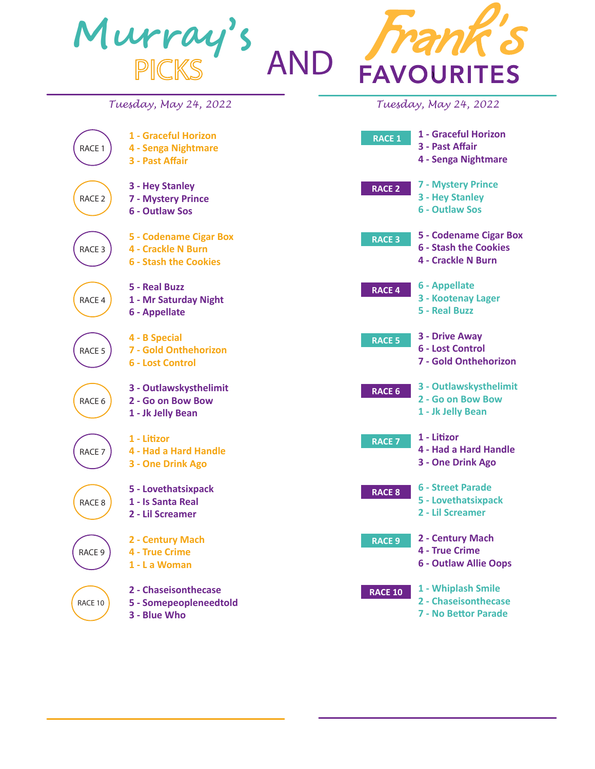

**4 - Two to Ten**

**8 - Appellate**